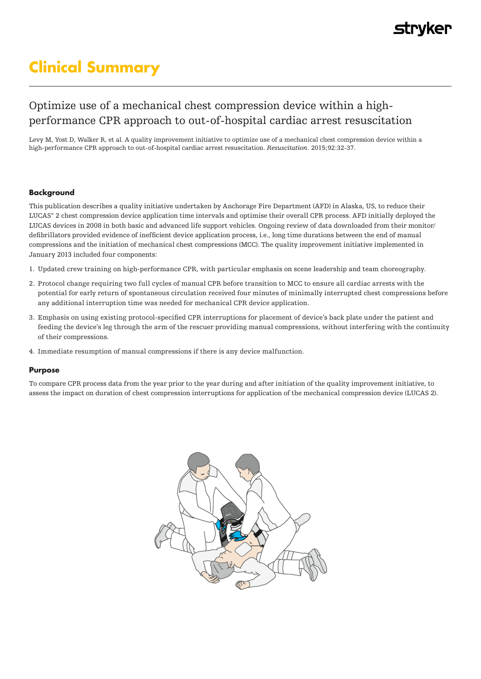# **Clinical Summary**

# Optimize use of a mechanical chest compression device within a highperformance CPR approach to out-of-hospital cardiac arrest resuscitation

Levy M, Yost D, Walker R, et al. A quality improvement initiative to optimize use of a mechanical chest compression device within a high-performance CPR approach to out-of-hospital cardiac arrest resuscitation. *Resuscitation*. 2015;92:32-37.

#### **Background**

This publication describes a quality initiative undertaken by Anchorage Fire Department (AFD) in Alaska, US, to reduce their LUCAS® 2 chest compression device application time intervals and optimise their overall CPR process. AFD initially deployed the LUCAS devices in 2008 in both basic and advanced life support vehicles. Ongoing review of data downloaded from their monitor/ defibrillators provided evidence of inefficient device application process, i.e., long time durations between the end of manual compressions and the initiation of mechanical chest compressions (MCC). The quality improvement initiative implemented in January 2013 included four components:

- 1. Updated crew training on high-performance CPR, with particular emphasis on scene leadership and team choreography.
- 2. Protocol change requiring two full cycles of manual CPR before transition to MCC to ensure all cardiac arrests with the potential for early return of spontaneous circulation received four minutes of minimally interrupted chest compressions before any additional interruption time was needed for mechanical CPR device application.
- 3. Emphasis on using existing protocol-specified CPR interruptions for placement of device's back plate under the patient and feeding the device's leg through the arm of the rescuer providing manual compressions, without interfering with the continuity of their compressions.
- 4. Immediate resumption of manual compressions if there is any device malfunction.

#### **Purpose**

To compare CPR process data from the year prior to the year during and after initiation of the quality improvement initiative, to assess the impact on duration of chest compression interruptions for application of the mechanical compression device (LUCAS 2).

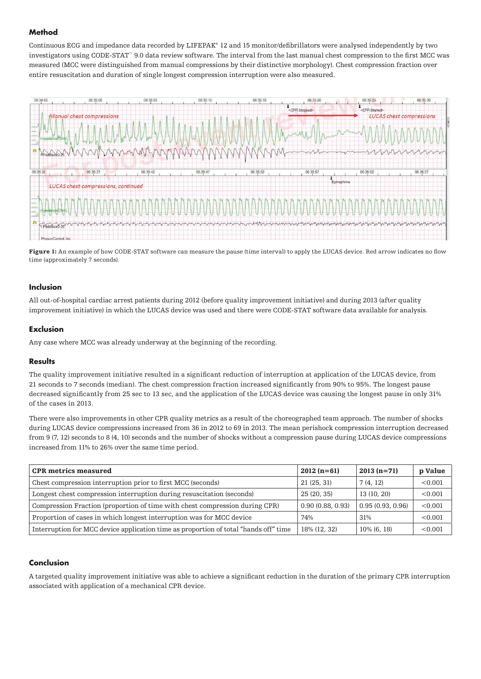### **Method**

Continuous ECG and impedance data recorded by LIFEPAK<sup>®</sup> 12 and 15 monitor/defibrillators were analysed independently by two investigators using CODE-STAT™ 9.0 data review software. The interval from the last manual chest compression to the first MCC was measured (MCC were distinguished from manual compressions by their distinctive morphology). Chest compression fraction over entire resuscitation and duration of single longest compression interruption were also measured.



Figure 1: An example of how CODE-STAT software can measure the pause (time interval) to apply the LUCAS device. Red arrow indicates no flow time (approximately 7 seconds).

### **Inclusion**

All out-of-hospital cardiac arrest patients during 2012 (before quality improvement initiative) and during 2013 (after quality improvement initiative) in which the LUCAS device was used and there were CODE-STAT software data available for analysis.

### **Exclusion**

Any case where MCC was already underway at the beginning of the recording.

#### **Results**

The quality improvement initiative resulted in a significant reduction of interruption at application of the LUCAS device, from 21 seconds to 7 seconds (median). The chest compression fraction increased significantly from 90% to 95%. The longest pause decreased significantly from 25 sec to 13 sec, and the application of the LUCAS device was causing the longest pause in only 31% of the cases in 2013.

There were also improvements in other CPR quality metrics as a result of the choreographed team approach. The number of shocks during LUCAS device compressions increased from 36 in 2012 to 69 in 2013. The mean perishock compression interruption decreased from 9 (7, 12) seconds to 8 (4, 10) seconds and the number of shocks without a compression pause during LUCAS device compressions increased from 11% to 26% over the same time period.

| <b>CPR</b> metrics measured                                                          | $2012(n=61)$     | $2013(n=71)$     | p Value |
|--------------------------------------------------------------------------------------|------------------|------------------|---------|
| Chest compression interruption prior to first MCC (seconds)                          | 21(25, 31)       | 7(4, 12)         | < 0.001 |
| Longest chest compression interruption during resuscitation (seconds)                | 25(20, 35)       | 13(10, 20)       | < 0.001 |
| Compression Fraction (proportion of time with chest compression during CPR)          | 0.90(0.88, 0.93) | 0.95(0.93, 0.96) | < 0.001 |
| Proportion of cases in which longest interruption was for MCC device                 | 74%              | 31%              | < 0.001 |
| Interruption for MCC device application time as proportion of total "hands off" time | 18% (12, 32)     | $10\%$ (6, 18)   | < 0.001 |

#### **Conclusion**

A targeted quality improvement initiative was able to achieve a significant reduction in the duration of the primary CPR interruption associated with application of a mechanical CPR device.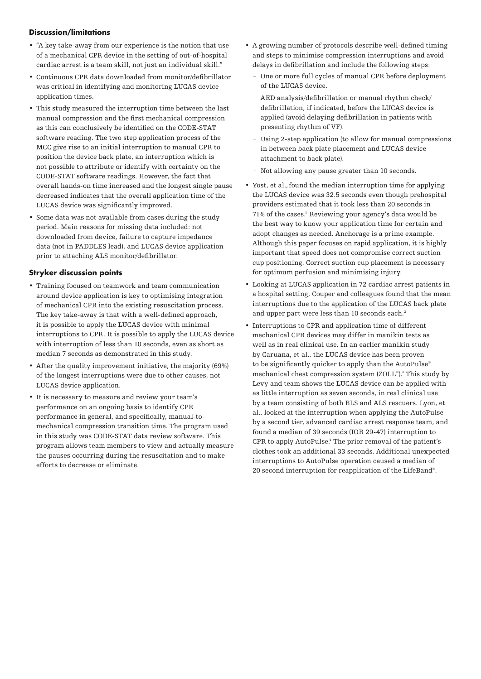#### **Discussion/limitations**

- "A key take-away from our experience is the notion that use of a mechanical CPR device in the setting of out-of-hospital cardiac arrest is a team skill, not just an individual skill."
- Continuous CPR data downloaded from monitor/defibrillator was critical in identifying and monitoring LUCAS device application times.
- This study measured the interruption time between the last manual compression and the first mechanical compression as this can conclusively be identified on the CODE-STAT software reading. The two step application process of the MCC give rise to an initial interruption to manual CPR to position the device back plate, an interruption which is not possible to attribute or identify with certainty on the CODE-STAT software readings. However, the fact that overall hands-on time increased and the longest single pause decreased indicates that the overall application time of the LUCAS device was significantly improved.
- Some data was not available from cases during the study period. Main reasons for missing data included: not downloaded from device, failure to capture impedance data (not in PADDLES lead), and LUCAS device application prior to attaching ALS monitor/defibrillator.

#### **Stryker discussion points**

- Training focused on teamwork and team communication around device application is key to optimising integration of mechanical CPR into the existing resuscitation process. The key take-away is that with a well-defined approach, it is possible to apply the LUCAS device with minimal interruptions to CPR. It is possible to apply the LUCAS device with interruption of less than 10 seconds, even as short as median 7 seconds as demonstrated in this study.
- After the quality improvement initiative, the majority (69%) of the longest interruptions were due to other causes, not LUCAS device application.
- It is necessary to measure and review your team's performance on an ongoing basis to identify CPR performance in general, and specifically, manual-tomechanical compression transition time. The program used in this study was CODE-STAT data review software. This program allows team members to view and actually measure the pauses occurring during the resuscitation and to make efforts to decrease or eliminate.
- A growing number of protocols describe well-defined timing and steps to minimise compression interruptions and avoid delays in defibrillation and include the following steps:
	- One or more full cycles of manual CPR before deployment of the LUCAS device.
	- AED analysis/defibrillation or manual rhythm check/ defibrillation, if indicated, before the LUCAS device is applied (avoid delaying defibrillation in patients with presenting rhythm of VF).
	- Using 2-step application (to allow for manual compressions in between back plate placement and LUCAS device attachment to back plate).
	- Not allowing any pause greater than 10 seconds.
- Yost, et al.,found the median interruption time for applying the LUCAS device was 32.5 seconds even though prehospital providers estimated that it took less than 20 seconds in 71% of the cases.<sup>1</sup> Reviewing your agency's data would be the best way to know your application time for certain and adopt changes as needed. Anchorage is a prime example. Although this paper focuses on rapid application, it is highly important that speed does not compromise correct suction cup positioning. Correct suction cup placement is necessary for optimum perfusion and minimising injury.
- Looking at LUCAS application in 72 cardiac arrest patients in a hospital setting, Couper and colleagues found that the mean interruptions due to the application of the LUCAS back plate and upper part were less than 10 seconds each.<sup>2</sup>
- Interruptions to CPR and application time of different mechanical CPR devices may differ in manikin tests as well as in real clinical use. In an earlier manikin study by Caruana, et al., the LUCAS device has been proven to be significantly quicker to apply than the AutoPulse® mechanical chest compression system (ZOLL®).3 This study by Levy and team shows the LUCAS device can be applied with as little interruption as seven seconds, in real clinical use by a team consisting of both BLS and ALS rescuers. Lyon, et al., looked at the interruption when applying the AutoPulse by a second tier, advanced cardiac arrest response team, and found a median of 39 seconds (IQR 29-47) interruption to CPR to apply AutoPulse.<sup>4</sup> The prior removal of the patient's clothes took an additional 33 seconds. Additional unexpected interruptions to AutoPulse operation caused a median of 20 second interruption for reapplication of the LifeBand® .